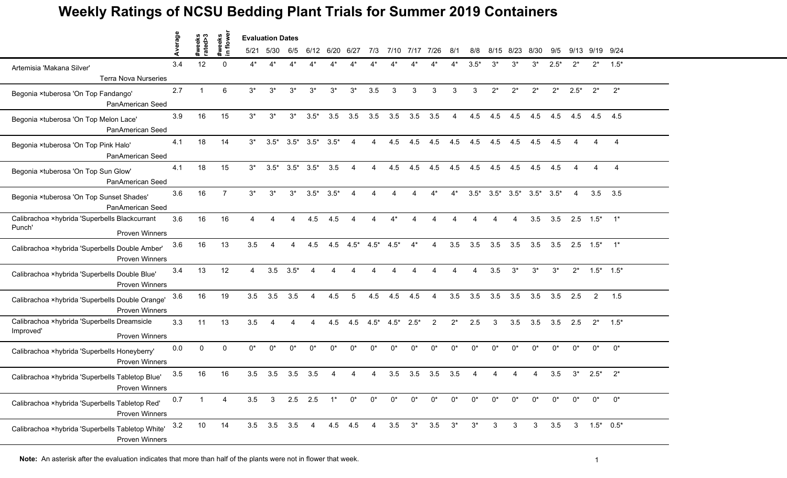## **Weekly Ratings of NCSU Bedding Plant Trials for Summer 2019 Containers**

|                                                                                   | erage |                   |                     | <b>Evaluation Dates</b> |                      |        |                 |        |         |        |        |        |                |       |        |       |                 |                 |        |        |                     |                |
|-----------------------------------------------------------------------------------|-------|-------------------|---------------------|-------------------------|----------------------|--------|-----------------|--------|---------|--------|--------|--------|----------------|-------|--------|-------|-----------------|-----------------|--------|--------|---------------------|----------------|
|                                                                                   |       | #weeks<br>rated>3 | #weeks<br>in flower | 5/21                    | 5/30                 | 6/5    | 6/12            | 6/20   | 6/27    | 7/3    | 7/10   | 7/17   | 7/26           | 8/1   | 8/8    | 8/15  | 8/23            | 8/30            | 9/5    | 9/13   | 9/19 9/24           |                |
| Artemisia 'Makana Silver'<br><b>Terra Nova Nurseries</b>                          | 3.4   | 12                | $\Omega$            | 4*                      | $\mathbf{1}^{\star}$ |        |                 |        |         |        |        |        |                |       | $3.5*$ | $3^*$ | $3^*$           | $3^*$           | $2.5*$ | $2^*$  | $2^*$               | $1.5*$         |
| Begonia ×tuberosa 'On Top Fandango'<br>PanAmerican Seed                           | 2.7   | $\overline{1}$    | $6\phantom{1}$      | $3^*$                   | $3^*$                | $3^*$  | $3^*$           | $3^*$  | $3^*$   | 3.5    | 3      | 3      | 3              | 3     | 3      | $2^*$ | $2^*$           | $2^*$           | $2^*$  | $2.5*$ | $2^*$               | $2^*$          |
| Begonia ×tuberosa 'On Top Melon Lace'<br>PanAmerican Seed                         | 3.9   | 16                | 15                  | $3^*$                   | $3^*$                | $3^*$  | $3.5*$          | 3.5    | 3.5     | 3.5    | 3.5    | 3.5    | 3.5            | 4     | 4.5    | 4.5   | 4.5             | 4.5             | 4.5    | 4.5    | 4.5                 | 4.5            |
| Begonia ×tuberosa 'On Top Pink Halo'<br><b>PanAmerican Seed</b>                   | 4.1   | 18                | 14                  | $3^*$                   | $3.5*$               |        | $3.5^*$ $3.5^*$ | $3.5*$ | 4       | 4      | 4.5    | 4.5    | 4.5            | 4.5   | 4.5    | 4.5   | 4.5             | 4.5             | 4.5    |        |                     | 4              |
| Begonia ×tuberosa 'On Top Sun Glow'<br>PanAmerican Seed                           | 4.1   | 18                | 15                  | $3^*$                   | $3.5*$               | $3.5*$ | $3.5*$          | 3.5    | Δ       |        | 4.5    | 4.5    | 4.5            | 4.5   | 4.5    | 4.5   | 4.5             | 4.5             | 4.5    |        | 4                   | $\overline{4}$ |
| Begonia ×tuberosa 'On Top Sunset Shades'<br><b>PanAmerican Seed</b>               | 3.6   | 16                | $\overline{7}$      | $3^*$                   | $3^*$                | $3^*$  | $3.5*$          | $3.5*$ | 4       | 4      | 4      |        | $4^*$          | $4^*$ | $3.5*$ |       | $3.5^*$ $3.5^*$ | $3.5^*$ $3.5^*$ |        | 4      | 3.5                 | 3.5            |
| Calibrachoa ×hybrida 'Superbells Blackcurrant<br>Punch'<br><b>Proven Winners</b>  | 3.6   | 16                | 16                  | Δ                       | $\Delta$             | 4      | 4.5             | 4.5    | 4       | 4      | $4^*$  | Δ      | 4              | 4     | Δ      | Δ     | 4               | 3.5             | 3.5    |        | $2.5$ $1.5^*$ $1^*$ |                |
| Calibrachoa ×hybrida 'Superbells Double Amber'<br><b>Proven Winners</b>           | 3.6   | 16                | 13                  | 3.5                     | 4                    | 4      | 4.5             | 4.5    | $4.5*$  | $4.5*$ | $4.5*$ | $4^*$  | 4              | 3.5   | 3.5    | 3.5   | 3.5             | 3.5             | 3.5    |        | $2.5$ $1.5^*$ $1^*$ |                |
| Calibrachoa ×hybrida 'Superbells Double Blue'<br><b>Proven Winners</b>            | 3.4   | 13                | 12                  | 4                       | 3.5                  | $3.5*$ |                 |        |         |        |        |        |                |       |        | 3.5   | $3^*$           | $3^*$           | $3^*$  | $2^*$  | $1.5^*$ $1.5^*$     |                |
| Calibrachoa ×hybrida 'Superbells Double Orange'<br><b>Proven Winners</b>          | 3.6   | 16                | 19                  | 3.5                     | 3.5                  | 3.5    | $\overline{4}$  | 4.5    | 5       | 4.5    | 4.5    | 4.5    | 4              | 3.5   | 3.5    | 3.5   | 3.5             | 3.5             | 3.5    | 2.5    | $\overline{2}$      | 1.5            |
| Calibrachoa ×hybrida 'Superbells Dreamsicle<br>Improved'<br><b>Proven Winners</b> | 3.3   | 11                | 13                  | 3.5                     | 4                    | Δ      | Δ               | 4.5    | 4.5     | $4.5*$ | $4.5*$ | $2.5*$ | $\overline{2}$ | $2^*$ | 2.5    | 3     | 3.5             | 3.5             | 3.5    | 2.5    | $2^*$               | $1.5*$         |
| Calibrachoa ×hybrida 'Superbells Honeyberry'<br><b>Proven Winners</b>             | 0.0   | $\mathbf{0}$      | $\Omega$            | 0*                      | $0^*$                | 0*     | $0^*$           | $0^*$  | $0^*$   | $0^*$  | $0^*$  | $0^*$  | 0*             | $0^*$ | $0^*$  | $0^*$ | $0^*$           | $0^*$           | $0^*$  | $0^*$  | $0^*$               | $0^*$          |
| Calibrachoa ×hybrida 'Superbells Tabletop Blue'<br><b>Proven Winners</b>          | 3.5   | 16                | 16                  | 3.5                     | 3.5                  | 3.5    | 3.5             |        |         |        | 3.5    | 3.5    | 3.5            | 3.5   |        |       |                 |                 | 3.5    | $3^*$  | $2.5*$              | $2^*$          |
| Calibrachoa ×hybrida 'Superbells Tabletop Red'<br>Proven Winners                  | 0.7   | $\mathbf{1}$      | 4                   | 3.5                     | 3 <sup>1</sup>       |        | $2.5$ 2.5       | $1^*$  | $0^*$   | $0^*$  | $0^*$  | $0^*$  | $0^*$          | $0^*$ | $0^*$  | $0^*$ | $0^*$           | $0^*$           | $0^*$  | $0^*$  | $0^*$               | $0^*$          |
| Calibrachoa ×hybrida 'Superbells Tabletop White'<br><b>Proven Winners</b>         | 3.2   | 10                | 14                  |                         | 3.5 3.5 3.5 4        |        |                 |        | 4.5 4.5 | 4      | 3.5    | $3^*$  | 3.5            | $3^*$ | $3^*$  | 3     | 3               | 3               | 3.5    |        | $3$ $1.5^*$ $0.5^*$ |                |

**Note:** An asterisk after the evaluation indicates that more than half of the plants were not in flower that week.